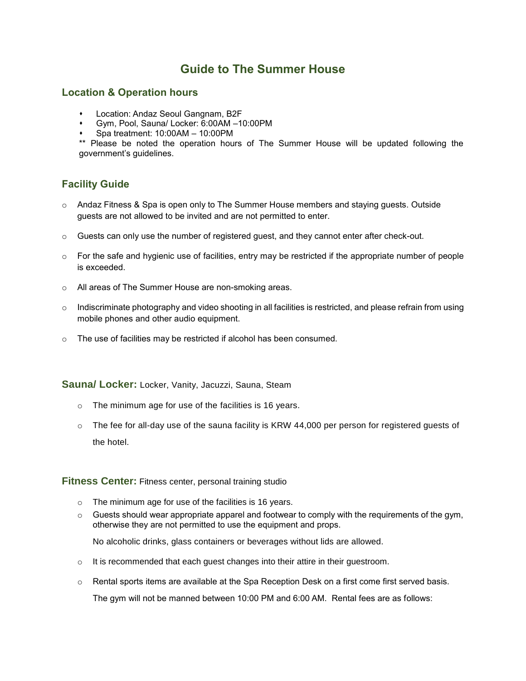# **Guide to The Summer House**

## **Location & Operation hours**

- 
- **Location: Andaz Seoul Gangnam, B2F**<br>Com. Pool. Sauna/ Locker: 6:00AM -1 Gym, Pool, Sauna/ Locker: 6:00AM –10:00PM
- $\bullet$  Spa treatment: 10:00AM 10:00PM

\*\* Please be noted the operation hours of The Summer House will be updated following the government's guidelines.

# **Facility Guide**

- $\circ$  Andaz Fitness & Spa is open only to The Summer House members and staying guests. Outside guests are not allowed to be invited and are not permitted to enter.
- o Guests can only use the number of registered guest, and they cannot enter after check-out.
- $\circ$  For the safe and hygienic use of facilities, entry may be restricted if the appropriate number of people is exceeded.
- o All areas of The Summer House are non-smoking areas.
- o Indiscriminate photography and video shooting in all facilities is restricted, and please refrain from using mobile phones and other audio equipment.
- o The use of facilities may be restricted if alcohol has been consumed.

**Sauna/ Locker:** Locker, Vanity, Jacuzzi, Sauna, Steam

- o The minimum age for use of the facilities is 16 years.
- o The fee for all-day use of the sauna facility is KRW 44,000 per person for registered guests of the hotel.

#### **Fitness Center:** Fitness center, personal training studio

- o The minimum age for use of the facilities is 16 years.
- $\circ$  Guests should wear appropriate apparel and footwear to comply with the requirements of the gym, otherwise they are not permitted to use the equipment and props.

No alcoholic drinks, glass containers or beverages without lids are allowed.

- o It is recommended that each guest changes into their attire in their guestroom.
- o Rental sports items are available at the Spa Reception Desk on a first come first served basis. The gym will not be manned between 10:00 PM and 6:00 AM. Rental fees are as follows: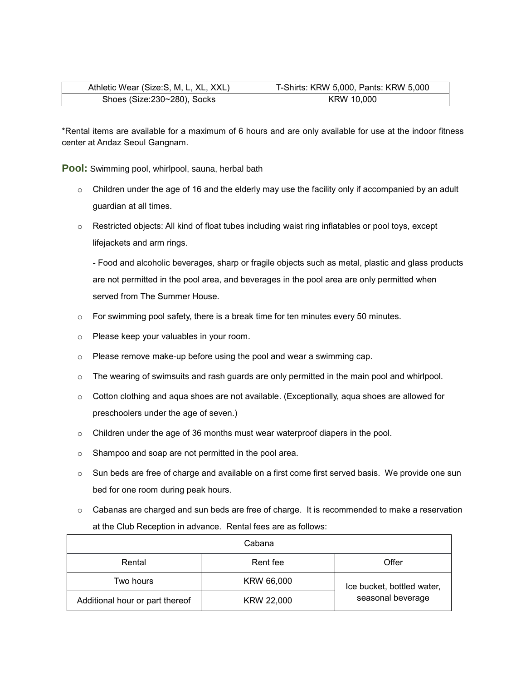| Athletic Wear (Size:S, M, L, XL, XXL) | T-Shirts: KRW 5,000, Pants: KRW 5,000 |
|---------------------------------------|---------------------------------------|
| Shoes (Size:230~280), Socks           | KRW 10.000                            |

\*Rental items are available for a maximum of 6 hours and are only available for use at the indoor fitness center at Andaz Seoul Gangnam.

**Pool:** Swimming pool, whirlpool, sauna, herbal bath

- o Children under the age of 16 and the elderly may use the facility only if accompanied by an adult guardian at all times.
- o Restricted objects: All kind of float tubes including waist ring inflatables or pool toys, except lifejackets and arm rings.

- Food and alcoholic beverages, sharp or fragile objects such as metal, plastic and glass products are not permitted in the pool area, and beverages in the pool area are only permitted when served from The Summer House.

- $\circ$  For swimming pool safety, there is a break time for ten minutes every 50 minutes.
- o Please keep your valuables in your room.
- o Please remove make-up before using the pool and wear a swimming cap.
- $\circ$  The wearing of swimsuits and rash guards are only permitted in the main pool and whirlpool.
- $\circ$  Cotton clothing and aqua shoes are not available. (Exceptionally, aqua shoes are allowed for preschoolers under the age of seven.)
- $\circ$  Children under the age of 36 months must wear waterproof diapers in the pool.
- o Shampoo and soap are not permitted in the pool area.
- o Sun beds are free of charge and available on a first come first served basis. We provide one sun bed for one room during peak hours.
- $\circ$  Cabanas are charged and sun beds are free of charge. It is recommended to make a reservation at the Club Reception in advance. Rental fees are as follows:

| Cabana                          |            |                                                 |
|---------------------------------|------------|-------------------------------------------------|
| Rental                          | Rent fee   | Offer                                           |
| Two hours                       | KRW 66,000 | Ice bucket, bottled water,<br>seasonal beverage |
| Additional hour or part thereof | KRW 22,000 |                                                 |